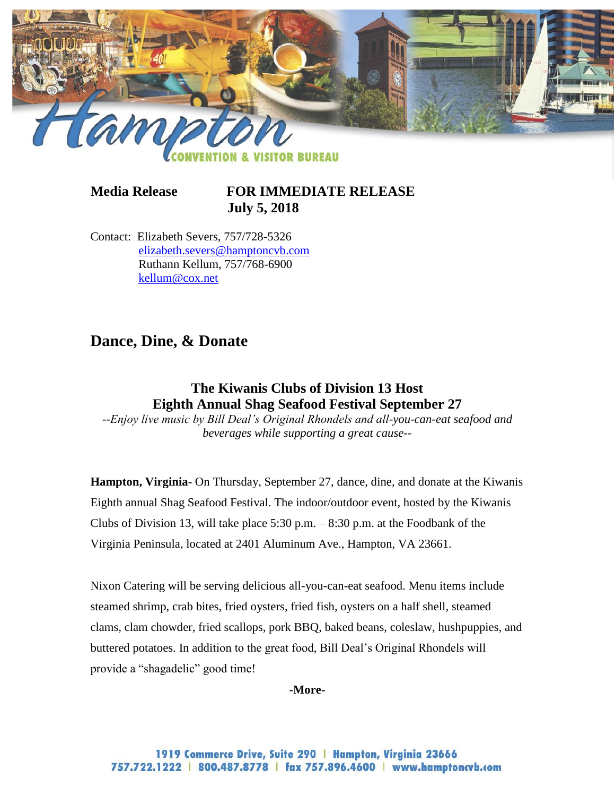

**Media Release FOR IMMEDIATE RELEASE July 5, 2018** 

Contact: Elizabeth Severs, 757/728-5326 [elizabeth.severs@hamptoncvb.com](mailto:elizabeth.severs@hamptoncvb.com) Ruthann Kellum, 757/768-6900 [kellum@cox.net](mailto:kellum@cox.net)

# **Dance, Dine, & Donate**

## **The Kiwanis Clubs of Division 13 Host Eighth Annual Shag Seafood Festival September 27**

*--Enjoy live music by Bill Deal's Original Rhondels and all-you-can-eat seafood and beverages while supporting a great cause--*

**Hampton, Virginia-** On Thursday, September 27, dance, dine, and donate at the Kiwanis Eighth annual Shag Seafood Festival. The indoor/outdoor event, hosted by the Kiwanis Clubs of Division 13, will take place 5:30 p.m.  $-8:30$  p.m. at the Foodbank of the Virginia Peninsula, located at 2401 Aluminum Ave., Hampton, VA 23661.

Nixon Catering will be serving delicious all-you-can-eat seafood. Menu items include steamed shrimp, crab bites, fried oysters, fried fish, oysters on a half shell, steamed clams, clam chowder, fried scallops, pork BBQ, baked beans, coleslaw, hushpuppies, and buttered potatoes. In addition to the great food, Bill Deal's Original Rhondels will provide a "shagadelic" good time!

**-More-**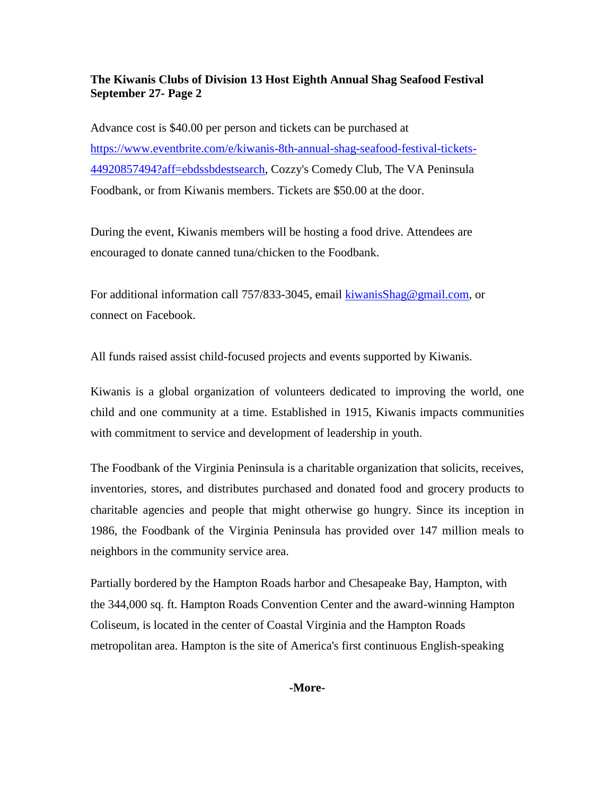#### **The Kiwanis Clubs of Division 13 Host Eighth Annual Shag Seafood Festival September 27- Page 2**

Advance cost is \$40.00 per person and tickets can be purchased at [https://www.eventbrite.com/e/kiwanis-8th-annual-shag-seafood-festival-tickets-](https://www.eventbrite.com/e/kiwanis-8th-annual-shag-seafood-festival-tickets-44920857494?aff=ebdssbdestsearch)[44920857494?aff=ebdssbdestsearch,](https://www.eventbrite.com/e/kiwanis-8th-annual-shag-seafood-festival-tickets-44920857494?aff=ebdssbdestsearch) Cozzy's Comedy Club, The VA Peninsula Foodbank, or from Kiwanis members. Tickets are \$50.00 at the door.

During the event, Kiwanis members will be hosting a food drive. Attendees are encouraged to donate canned tuna/chicken to the Foodbank.

For additional information call 757/833-3045, email [kiwanisShag@gmail.com,](mailto:kiwanisShag@gmail.com) or connect on Facebook.

All funds raised assist child-focused projects and events supported by Kiwanis.

Kiwanis is a global organization of volunteers dedicated to improving the world, one child and one community at a time. Established in 1915, Kiwanis impacts communities with commitment to service and development of leadership in youth.

The Foodbank of the Virginia Peninsula is a charitable organization that solicits, receives, inventories, stores, and distributes purchased and donated food and grocery products to charitable agencies and people that might otherwise go hungry. Since its inception in 1986, the Foodbank of the Virginia Peninsula has provided over 147 million meals to neighbors in the community service area.

Partially bordered by the Hampton Roads harbor and Chesapeake Bay, Hampton, with the 344,000 sq. ft. Hampton Roads Convention Center and the award-winning Hampton Coliseum, is located in the center of Coastal Virginia and the Hampton Roads metropolitan area. Hampton is the site of America's first continuous English-speaking

#### **-More-**